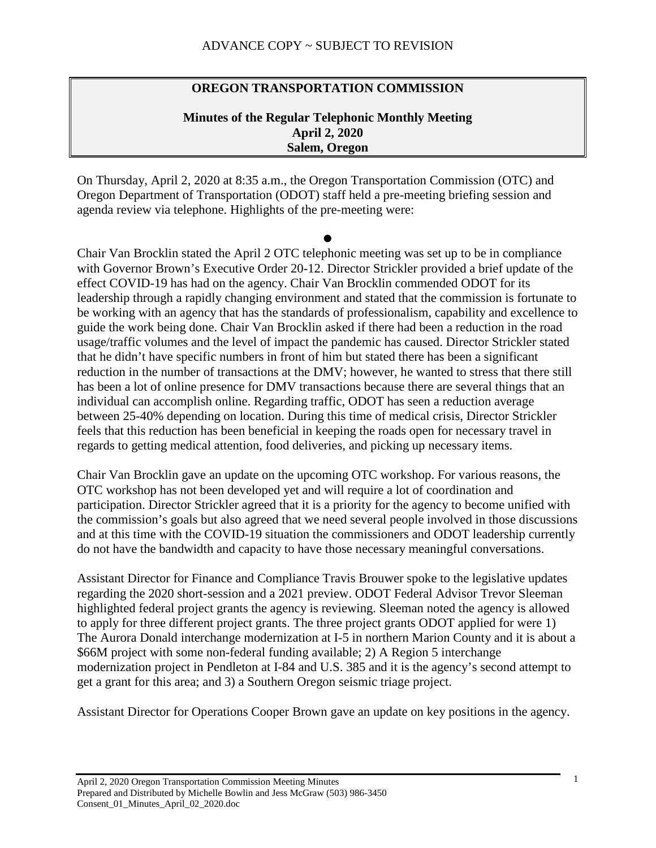# **OREGON TRANSPORTATION COMMISSION**

### **Minutes of the Regular Telephonic Monthly Meeting April 2, 2020 Salem, Oregon**

On Thursday, April 2, 2020 at 8:35 a.m., the Oregon Transportation Commission (OTC) and Oregon Department of Transportation (ODOT) staff held a pre-meeting briefing session and agenda review via telephone. Highlights of the pre-meeting were:

 $\bullet$ 

Chair Van Brocklin stated the April 2 OTC telephonic meeting was set up to be in compliance with Governor Brown's Executive Order 20-12. Director Strickler provided a brief update of the effect COVID-19 has had on the agency. Chair Van Brocklin commended ODOT for its leadership through a rapidly changing environment and stated that the commission is fortunate to be working with an agency that has the standards of professionalism, capability and excellence to guide the work being done. Chair Van Brocklin asked if there had been a reduction in the road usage/traffic volumes and the level of impact the pandemic has caused. Director Strickler stated that he didn't have specific numbers in front of him but stated there has been a significant reduction in the number of transactions at the DMV; however, he wanted to stress that there still has been a lot of online presence for DMV transactions because there are several things that an individual can accomplish online. Regarding traffic, ODOT has seen a reduction average between 25-40% depending on location. During this time of medical crisis, Director Strickler feels that this reduction has been beneficial in keeping the roads open for necessary travel in regards to getting medical attention, food deliveries, and picking up necessary items.

Chair Van Brocklin gave an update on the upcoming OTC workshop. For various reasons, the OTC workshop has not been developed yet and will require a lot of coordination and participation. Director Strickler agreed that it is a priority for the agency to become unified with the commission's goals but also agreed that we need several people involved in those discussions and at this time with the COVID-19 situation the commissioners and ODOT leadership currently do not have the bandwidth and capacity to have those necessary meaningful conversations.

Assistant Director for Finance and Compliance Travis Brouwer spoke to the legislative updates regarding the 2020 short-session and a 2021 preview. ODOT Federal Advisor Trevor Sleeman highlighted federal project grants the agency is reviewing. Sleeman noted the agency is allowed to apply for three different project grants. The three project grants ODOT applied for were 1) The Aurora Donald interchange modernization at I-5 in northern Marion County and it is about a \$66M project with some non-federal funding available; 2) A Region 5 interchange modernization project in Pendleton at I-84 and U.S. 385 and it is the agency's second attempt to get a grant for this area; and 3) a Southern Oregon seismic triage project.

Assistant Director for Operations Cooper Brown gave an update on key positions in the agency.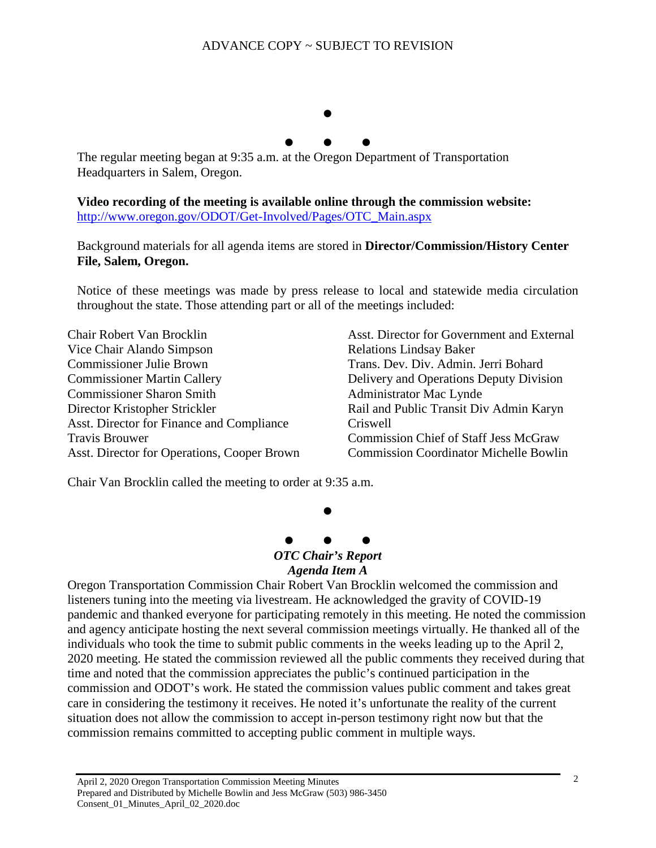

The regular meeting began at 9:35 a.m. at the Oregon Department of Transportation Headquarters in Salem, Oregon.

**Video recording of the meeting is available online through the commission website:**  [http://www.oregon.gov/ODOT/Get-Involved/Pages/OTC\\_Main.aspx](http://www.oregon.gov/ODOT/Get-Involved/Pages/OTC_Main.aspx)

Background materials for all agenda items are stored in **Director/Commission/History Center File, Salem, Oregon.**

Notice of these meetings was made by press release to local and statewide media circulation throughout the state. Those attending part or all of the meetings included:

Chair Robert Van Brocklin Vice Chair Alando Simpson Commissioner Julie Brown Commissioner Martin Callery Commissioner Sharon Smith Director Kristopher Strickler Asst. Director for Finance and Compliance Travis Brouwer Asst. Director for Operations, Cooper Brown Asst. Director for Government and External Relations Lindsay Baker Trans. Dev. Div. Admin. Jerri Bohard Delivery and Operations Deputy Division Administrator Mac Lynde Rail and Public Transit Div Admin Karyn Criswell Commission Chief of Staff Jess McGraw Commission Coordinator Michelle Bowlin

Chair Van Brocklin called the meeting to order at 9:35 a.m.



 $\bullet$ 

# *OTC Chair's Report*

#### *Agenda Item A*

Oregon Transportation Commission Chair Robert Van Brocklin welcomed the commission and listeners tuning into the meeting via livestream. He acknowledged the gravity of COVID-19 pandemic and thanked everyone for participating remotely in this meeting. He noted the commission and agency anticipate hosting the next several commission meetings virtually. He thanked all of the individuals who took the time to submit public comments in the weeks leading up to the April 2, 2020 meeting. He stated the commission reviewed all the public comments they received during that time and noted that the commission appreciates the public's continued participation in the commission and ODOT's work. He stated the commission values public comment and takes great care in considering the testimony it receives. He noted it's unfortunate the reality of the current situation does not allow the commission to accept in-person testimony right now but that the commission remains committed to accepting public comment in multiple ways.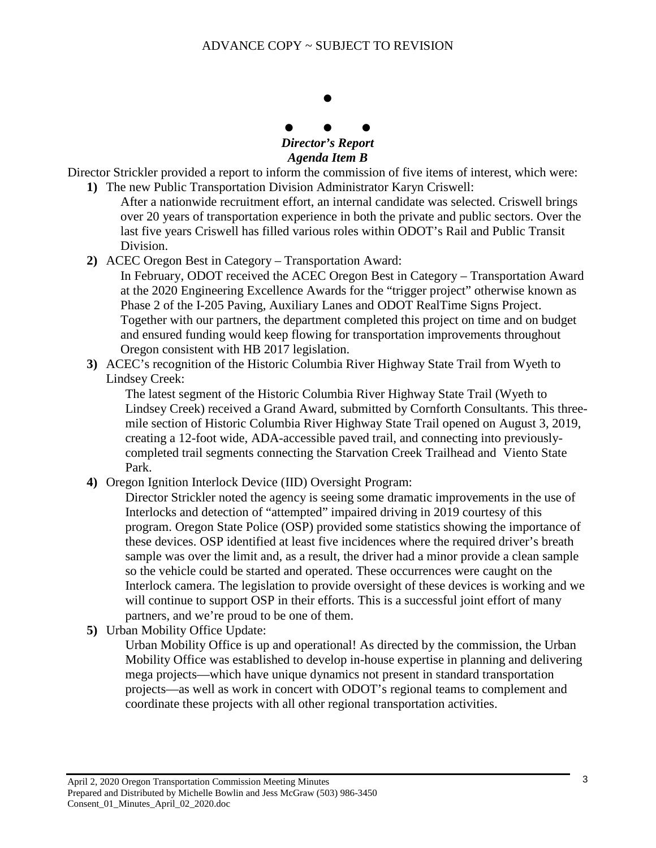

*Agenda Item B*

Director Strickler provided a report to inform the commission of five items of interest, which were: **1)** The new Public Transportation Division Administrator Karyn Criswell:

- After a nationwide recruitment effort, an internal candidate was selected. Criswell brings over 20 years of transportation experience in both the private and public sectors. Over the last five years Criswell has filled various roles within ODOT's Rail and Public Transit Division.
- **2)** ACEC Oregon Best in Category Transportation Award:

In February, ODOT received the ACEC Oregon Best in Category – Transportation Award at the 2020 Engineering Excellence Awards for the "trigger project" otherwise known as Phase 2 of the I-205 Paving, Auxiliary Lanes and ODOT RealTime Signs Project. Together with our partners, the department completed this project on time and on budget and ensured funding would keep flowing for transportation improvements throughout Oregon consistent with HB 2017 legislation.

**3)** ACEC's recognition of the Historic Columbia River Highway State Trail from Wyeth to Lindsey Creek:

The latest segment of the Historic Columbia River Highway State Trail (Wyeth to Lindsey Creek) received a Grand Award, submitted by Cornforth Consultants. This threemile section of Historic Columbia River Highway State Trail opened on August 3, 2019, creating a 12-foot wide, ADA-accessible paved trail, and connecting into previouslycompleted trail segments connecting the Starvation Creek Trailhead and Viento State Park.

**4)** Oregon Ignition Interlock Device (IID) Oversight Program:

Director Strickler noted the agency is seeing some dramatic improvements in the use of Interlocks and detection of "attempted" impaired driving in 2019 courtesy of this program. Oregon State Police (OSP) provided some statistics showing the importance of these devices. OSP identified at least five incidences where the required driver's breath sample was over the limit and, as a result, the driver had a minor provide a clean sample so the vehicle could be started and operated. These occurrences were caught on the Interlock camera. The legislation to provide oversight of these devices is working and we will continue to support OSP in their efforts. This is a successful joint effort of many partners, and we're proud to be one of them.

**5)** Urban Mobility Office Update:

Urban Mobility Office is up and operational! As directed by the commission, the Urban Mobility Office was established to develop in-house expertise in planning and delivering mega projects—which have unique dynamics not present in standard transportation projects—as well as work in concert with ODOT's regional teams to complement and coordinate these projects with all other regional transportation activities.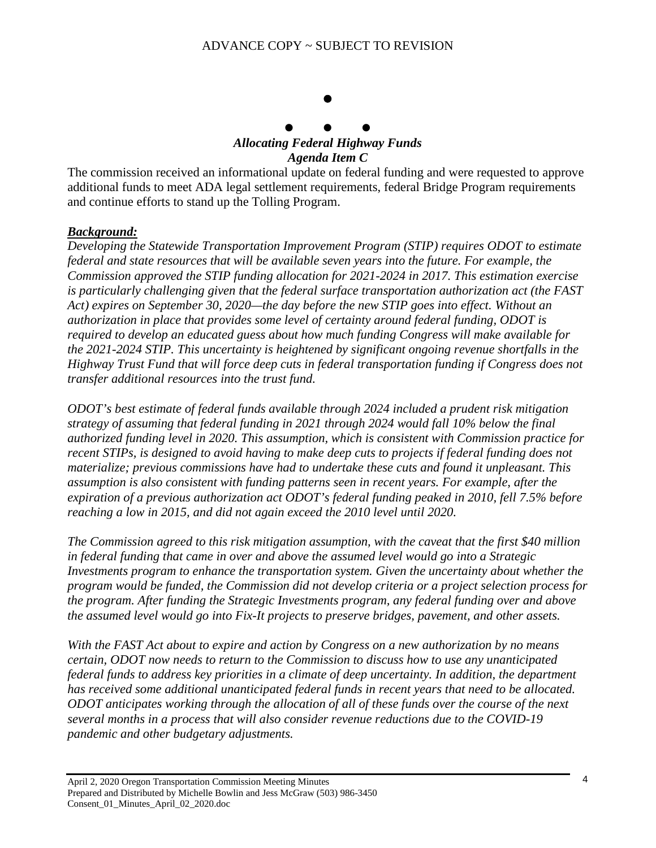# $\bullet$  $\bullet$   $\bullet$   $\bullet$ *Allocating Federal Highway Funds*

# *Agenda Item C*

The commission received an informational update on federal funding and were requested to approve additional funds to meet ADA legal settlement requirements, federal Bridge Program requirements and continue efforts to stand up the Tolling Program.

### *Background:*

*Developing the Statewide Transportation Improvement Program (STIP) requires ODOT to estimate federal and state resources that will be available seven years into the future. For example, the Commission approved the STIP funding allocation for 2021-2024 in 2017. This estimation exercise is particularly challenging given that the federal surface transportation authorization act (the FAST Act) expires on September 30, 2020—the day before the new STIP goes into effect. Without an authorization in place that provides some level of certainty around federal funding, ODOT is required to develop an educated guess about how much funding Congress will make available for the 2021-2024 STIP. This uncertainty is heightened by significant ongoing revenue shortfalls in the Highway Trust Fund that will force deep cuts in federal transportation funding if Congress does not transfer additional resources into the trust fund.*

*ODOT's best estimate of federal funds available through 2024 included a prudent risk mitigation strategy of assuming that federal funding in 2021 through 2024 would fall 10% below the final authorized funding level in 2020. This assumption, which is consistent with Commission practice for recent STIPs, is designed to avoid having to make deep cuts to projects if federal funding does not materialize; previous commissions have had to undertake these cuts and found it unpleasant. This assumption is also consistent with funding patterns seen in recent years. For example, after the expiration of a previous authorization act ODOT's federal funding peaked in 2010, fell 7.5% before reaching a low in 2015, and did not again exceed the 2010 level until 2020.*

*The Commission agreed to this risk mitigation assumption, with the caveat that the first \$40 million in federal funding that came in over and above the assumed level would go into a Strategic*  Investments program to enhance the transportation system. Given the uncertainty about whether the *program would be funded, the Commission did not develop criteria or a project selection process for the program. After funding the Strategic Investments program, any federal funding over and above the assumed level would go into Fix-It projects to preserve bridges, pavement, and other assets.*

*With the FAST Act about to expire and action by Congress on a new authorization by no means certain, ODOT now needs to return to the Commission to discuss how to use any unanticipated federal funds to address key priorities in a climate of deep uncertainty. In addition, the department has received some additional unanticipated federal funds in recent years that need to be allocated. ODOT anticipates working through the allocation of all of these funds over the course of the next several months in a process that will also consider revenue reductions due to the COVID-19 pandemic and other budgetary adjustments.*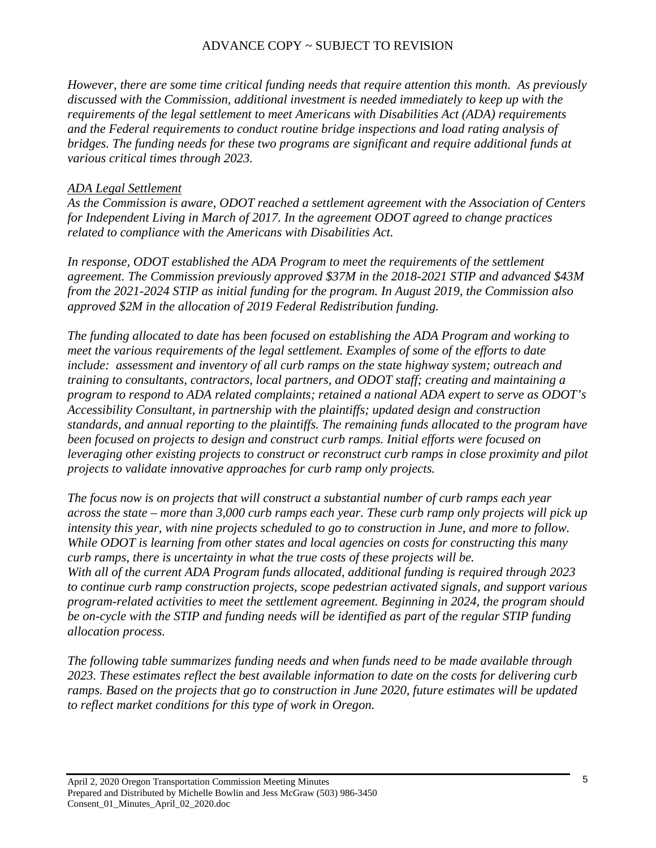*However, there are some time critical funding needs that require attention this month. As previously discussed with the Commission, additional investment is needed immediately to keep up with the requirements of the legal settlement to meet Americans with Disabilities Act (ADA) requirements and the Federal requirements to conduct routine bridge inspections and load rating analysis of bridges. The funding needs for these two programs are significant and require additional funds at various critical times through 2023.* 

### *ADA Legal Settlement*

*As the Commission is aware, ODOT reached a settlement agreement with the Association of Centers for Independent Living in March of 2017. In the agreement ODOT agreed to change practices related to compliance with the Americans with Disabilities Act.* 

*In response, ODOT established the ADA Program to meet the requirements of the settlement agreement. The Commission previously approved \$37M in the 2018-2021 STIP and advanced \$43M from the 2021-2024 STIP as initial funding for the program. In August 2019, the Commission also approved \$2M in the allocation of 2019 Federal Redistribution funding.* 

*The funding allocated to date has been focused on establishing the ADA Program and working to meet the various requirements of the legal settlement. Examples of some of the efforts to date include: assessment and inventory of all curb ramps on the state highway system; outreach and training to consultants, contractors, local partners, and ODOT staff; creating and maintaining a program to respond to ADA related complaints; retained a national ADA expert to serve as ODOT's Accessibility Consultant, in partnership with the plaintiffs; updated design and construction standards, and annual reporting to the plaintiffs. The remaining funds allocated to the program have been focused on projects to design and construct curb ramps. Initial efforts were focused on leveraging other existing projects to construct or reconstruct curb ramps in close proximity and pilot projects to validate innovative approaches for curb ramp only projects.* 

*The focus now is on projects that will construct a substantial number of curb ramps each year across the state – more than 3,000 curb ramps each year. These curb ramp only projects will pick up intensity this year, with nine projects scheduled to go to construction in June, and more to follow. While ODOT is learning from other states and local agencies on costs for constructing this many curb ramps, there is uncertainty in what the true costs of these projects will be. With all of the current ADA Program funds allocated, additional funding is required through 2023 to continue curb ramp construction projects, scope pedestrian activated signals, and support various program-related activities to meet the settlement agreement. Beginning in 2024, the program should be on-cycle with the STIP and funding needs will be identified as part of the regular STIP funding allocation process.* 

*The following table summarizes funding needs and when funds need to be made available through 2023. These estimates reflect the best available information to date on the costs for delivering curb ramps. Based on the projects that go to construction in June 2020, future estimates will be updated to reflect market conditions for this type of work in Oregon.*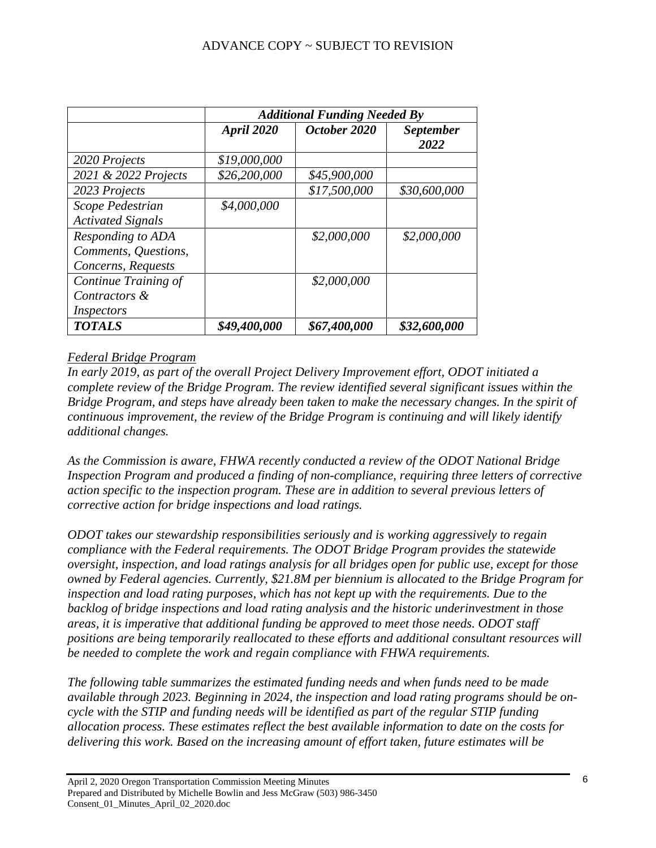|                          | <b>Additional Funding Needed By</b> |              |                          |
|--------------------------|-------------------------------------|--------------|--------------------------|
|                          | April 2020                          | October 2020 | <i>September</i><br>2022 |
| 2020 Projects            | \$19,000,000                        |              |                          |
| 2021 & 2022 Projects     | \$26,200,000                        | \$45,900,000 |                          |
| 2023 Projects            |                                     | \$17,500,000 | \$30,600,000             |
| Scope Pedestrian         | \$4,000,000                         |              |                          |
| <b>Activated Signals</b> |                                     |              |                          |
| Responding to ADA        |                                     | \$2,000,000  | \$2,000,000              |
| Comments, Questions,     |                                     |              |                          |
| Concerns, Requests       |                                     |              |                          |
| Continue Training of     |                                     | \$2,000,000  |                          |
| Contractors &            |                                     |              |                          |
| Inspectors               |                                     |              |                          |
| <b>TOTALS</b>            | \$49,400,000                        | \$67,400,000 | \$32,600,000             |

# *Federal Bridge Program*

*In early 2019, as part of the overall Project Delivery Improvement effort, ODOT initiated a complete review of the Bridge Program. The review identified several significant issues within the Bridge Program, and steps have already been taken to make the necessary changes. In the spirit of continuous improvement, the review of the Bridge Program is continuing and will likely identify additional changes.* 

*As the Commission is aware, FHWA recently conducted a review of the ODOT National Bridge Inspection Program and produced a finding of non-compliance, requiring three letters of corrective action specific to the inspection program. These are in addition to several previous letters of corrective action for bridge inspections and load ratings.* 

*ODOT takes our stewardship responsibilities seriously and is working aggressively to regain compliance with the Federal requirements. The ODOT Bridge Program provides the statewide oversight, inspection, and load ratings analysis for all bridges open for public use, except for those owned by Federal agencies. Currently, \$21.8M per biennium is allocated to the Bridge Program for*  inspection and load rating purposes, which has not kept up with the requirements. Due to the *backlog of bridge inspections and load rating analysis and the historic underinvestment in those areas, it is imperative that additional funding be approved to meet those needs. ODOT staff positions are being temporarily reallocated to these efforts and additional consultant resources will be needed to complete the work and regain compliance with FHWA requirements.* 

*The following table summarizes the estimated funding needs and when funds need to be made available through 2023. Beginning in 2024, the inspection and load rating programs should be oncycle with the STIP and funding needs will be identified as part of the regular STIP funding allocation process. These estimates reflect the best available information to date on the costs for delivering this work. Based on the increasing amount of effort taken, future estimates will be*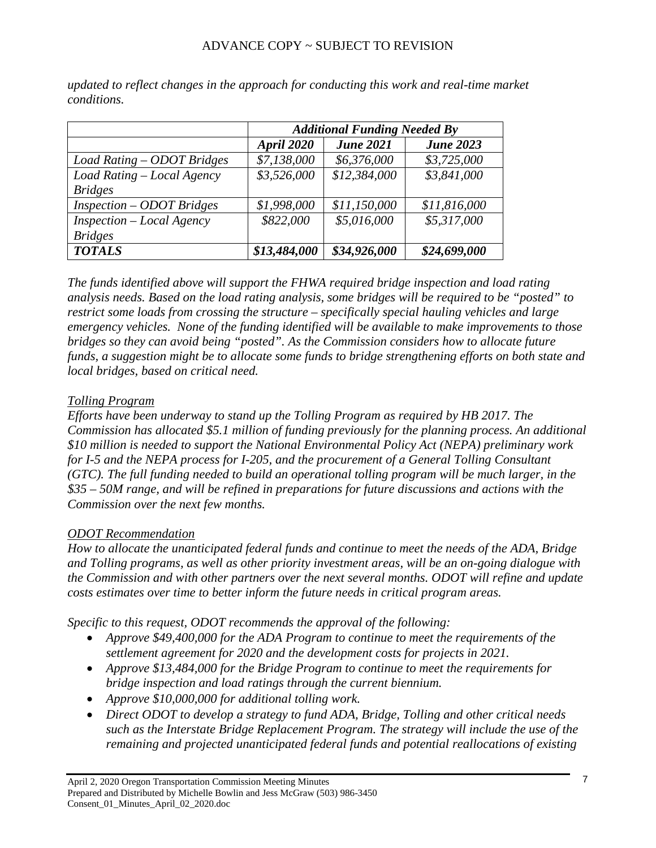|                             | <b>Additional Funding Needed By</b> |                  |                  |
|-----------------------------|-------------------------------------|------------------|------------------|
|                             | April 2020                          | <b>June 2021</b> | <b>June 2023</b> |
| Load Rating - ODOT Bridges  | \$7,138,000                         | \$6,376,000      | \$3,725,000      |
| Load Rating - Local Agency  | \$3,526,000                         | \$12,384,000     | \$3,841,000      |
| <b>Bridges</b>              |                                     |                  |                  |
| $Inspection - ODOTBridges$  | \$1,998,000                         | \$11,150,000     | \$11,816,000     |
| $Inspection - Local Agency$ | \$822,000                           | \$5,016,000      | \$5,317,000      |
| <b>Bridges</b>              |                                     |                  |                  |
| <b>TOTALS</b>               | \$13,484,000                        | \$34,926,000     | \$24,699,000     |

*updated to reflect changes in the approach for conducting this work and real-time market conditions.*

*The funds identified above will support the FHWA required bridge inspection and load rating analysis needs. Based on the load rating analysis, some bridges will be required to be "posted" to restrict some loads from crossing the structure – specifically special hauling vehicles and large emergency vehicles. None of the funding identified will be available to make improvements to those bridges so they can avoid being "posted". As the Commission considers how to allocate future funds, a suggestion might be to allocate some funds to bridge strengthening efforts on both state and local bridges, based on critical need.*

# *Tolling Program*

*Efforts have been underway to stand up the Tolling Program as required by HB 2017. The Commission has allocated \$5.1 million of funding previously for the planning process. An additional \$10 million is needed to support the National Environmental Policy Act (NEPA) preliminary work for I-5 and the NEPA process for I-205, and the procurement of a General Tolling Consultant (GTC). The full funding needed to build an operational tolling program will be much larger, in the \$35 – 50M range, and will be refined in preparations for future discussions and actions with the Commission over the next few months.*

### *ODOT Recommendation*

*How to allocate the unanticipated federal funds and continue to meet the needs of the ADA, Bridge and Tolling programs, as well as other priority investment areas, will be an on-going dialogue with the Commission and with other partners over the next several months. ODOT will refine and update costs estimates over time to better inform the future needs in critical program areas.* 

*Specific to this request, ODOT recommends the approval of the following:*

- *Approve \$49,400,000 for the ADA Program to continue to meet the requirements of the settlement agreement for 2020 and the development costs for projects in 2021.*
- *Approve \$13,484,000 for the Bridge Program to continue to meet the requirements for bridge inspection and load ratings through the current biennium.*
- *Approve \$10,000,000 for additional tolling work.*
- *Direct ODOT to develop a strategy to fund ADA, Bridge, Tolling and other critical needs such as the Interstate Bridge Replacement Program. The strategy will include the use of the remaining and projected unanticipated federal funds and potential reallocations of existing*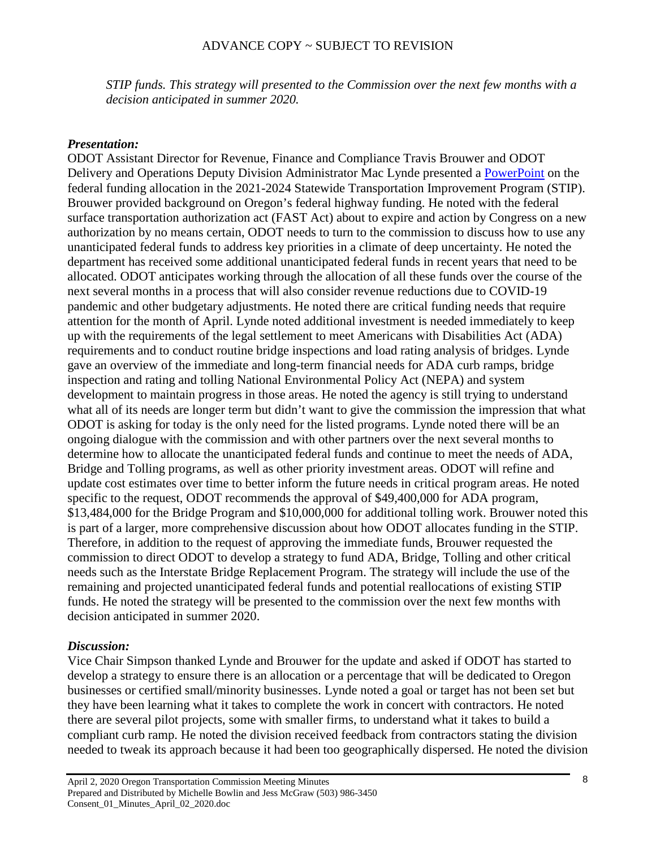*STIP funds. This strategy will presented to the Commission over the next few months with a decision anticipated in summer 2020.*

### *Presentation:*

ODOT Assistant Director for Revenue, Finance and Compliance Travis Brouwer and ODOT Delivery and Operations Deputy Division Administrator Mac Lynde presented a [PowerPoint](https://www.oregon.gov/odot/Get-Involved/OTCSupportMaterials/Agenda_C_Allocating_Federal_Highway_Funds_PPT.pdf) on the federal funding allocation in the 2021-2024 Statewide Transportation Improvement Program (STIP). Brouwer provided background on Oregon's federal highway funding. He noted with the federal surface transportation authorization act (FAST Act) about to expire and action by Congress on a new authorization by no means certain, ODOT needs to turn to the commission to discuss how to use any unanticipated federal funds to address key priorities in a climate of deep uncertainty. He noted the department has received some additional unanticipated federal funds in recent years that need to be allocated. ODOT anticipates working through the allocation of all these funds over the course of the next several months in a process that will also consider revenue reductions due to COVID-19 pandemic and other budgetary adjustments. He noted there are critical funding needs that require attention for the month of April. Lynde noted additional investment is needed immediately to keep up with the requirements of the legal settlement to meet Americans with Disabilities Act (ADA) requirements and to conduct routine bridge inspections and load rating analysis of bridges. Lynde gave an overview of the immediate and long-term financial needs for ADA curb ramps, bridge inspection and rating and tolling National Environmental Policy Act (NEPA) and system development to maintain progress in those areas. He noted the agency is still trying to understand what all of its needs are longer term but didn't want to give the commission the impression that what ODOT is asking for today is the only need for the listed programs. Lynde noted there will be an ongoing dialogue with the commission and with other partners over the next several months to determine how to allocate the unanticipated federal funds and continue to meet the needs of ADA, Bridge and Tolling programs, as well as other priority investment areas. ODOT will refine and update cost estimates over time to better inform the future needs in critical program areas. He noted specific to the request, ODOT recommends the approval of \$49,400,000 for ADA program, \$13,484,000 for the Bridge Program and \$10,000,000 for additional tolling work. Brouwer noted this is part of a larger, more comprehensive discussion about how ODOT allocates funding in the STIP. Therefore, in addition to the request of approving the immediate funds, Brouwer requested the commission to direct ODOT to develop a strategy to fund ADA, Bridge, Tolling and other critical needs such as the Interstate Bridge Replacement Program. The strategy will include the use of the remaining and projected unanticipated federal funds and potential reallocations of existing STIP funds. He noted the strategy will be presented to the commission over the next few months with decision anticipated in summer 2020.

#### *Discussion:*

Vice Chair Simpson thanked Lynde and Brouwer for the update and asked if ODOT has started to develop a strategy to ensure there is an allocation or a percentage that will be dedicated to Oregon businesses or certified small/minority businesses. Lynde noted a goal or target has not been set but they have been learning what it takes to complete the work in concert with contractors. He noted there are several pilot projects, some with smaller firms, to understand what it takes to build a compliant curb ramp. He noted the division received feedback from contractors stating the division needed to tweak its approach because it had been too geographically dispersed. He noted the division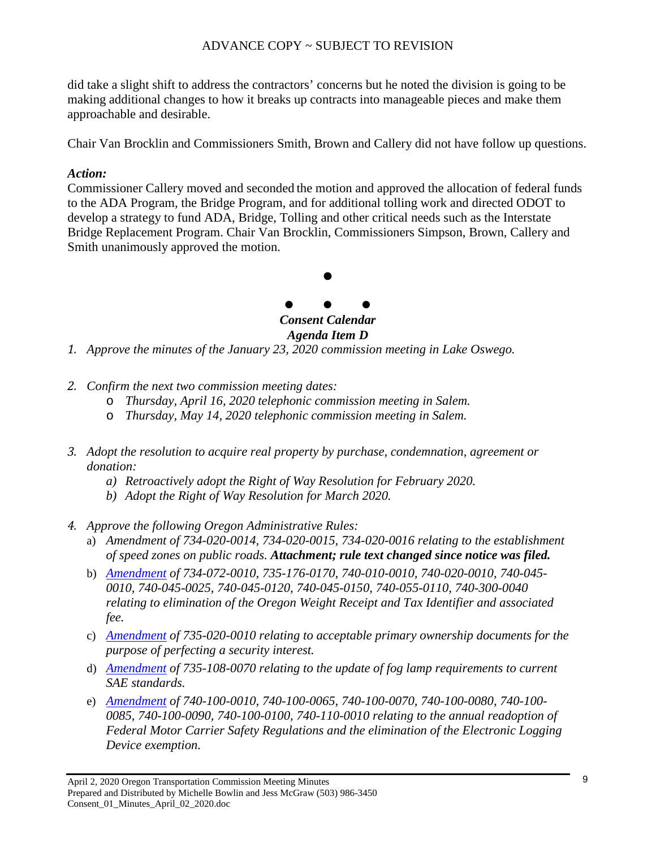did take a slight shift to address the contractors' concerns but he noted the division is going to be making additional changes to how it breaks up contracts into manageable pieces and make them approachable and desirable.

Chair Van Brocklin and Commissioners Smith, Brown and Callery did not have follow up questions.

### *Action:*

Commissioner Callery moved and seconded the motion and approved the allocation of federal funds to the ADA Program, the Bridge Program, and for additional tolling work and directed ODOT to develop a strategy to fund ADA, Bridge, Tolling and other critical needs such as the Interstate Bridge Replacement Program. Chair Van Brocklin, Commissioners Simpson, Brown, Callery and Smith unanimously approved the motion.



*1. Approve the minutes of the January 23, 2020 commission meeting in Lake Oswego.*

- *2. Confirm the next two commission meeting dates:*
	- o *Thursday, April 16, 2020 telephonic commission meeting in Salem.*
	- o *Thursday, May 14, 2020 telephonic commission meeting in Salem.*
- *3. Adopt the resolution to acquire real property by purchase, condemnation, agreement or donation:*
	- *a) Retroactively adopt the Right of Way Resolution for February 2020.*
	- *b) Adopt the Right of Way Resolution for March 2020.*
- *4. Approve the following Oregon Administrative Rules:*
	- a) *Amendment of 734-020-0014, 734-020-0015, 734-020-0016 relating to the establishment of speed zones on public roads. Attachment; rule text changed since notice was filed.*
	- b) *[Amendment](https://www.oregon.gov/odot/Get-Involved/OAR%20012020/OWRATI%20noticeTCcombined.pdf) of 734-072-0010, 735-176-0170, 740-010-0010, 740-020-0010, 740-045- 0010, 740-045-0025, 740-045-0120, 740-045-0150, 740-055-0110, 740-300-0040 relating to elimination of the Oregon Weight Receipt and Tax Identifier and associated fee.*
	- c) *[Amendment](https://www.oregon.gov/odot/Get-Involved/OAR%20122019/734-020-0014NoticeTC.pdf) of 735-020-0010 relating to acceptable primary ownership documents for the purpose of perfecting a security interest.*
	- d) *[Amendment](https://www.oregon.gov/odot/Get-Involved/OAR%20012020/735-108-0070NoticeTC.pdf) of 735-108-0070 relating to the update of fog lamp requirements to current SAE standards.*
	- e) *[Amendment](https://www.oregon.gov/odot/Get-Involved/OAR%20012020/740-100-0010NoticeTC.pdf) of 740-100-0010, 740-100-0065, 740-100-0070, 740-100-0080, 740-100- 0085, 740-100-0090, 740-100-0100, 740-110-0010 relating to the annual readoption of Federal Motor Carrier Safety Regulations and the elimination of the Electronic Logging Device exemption.*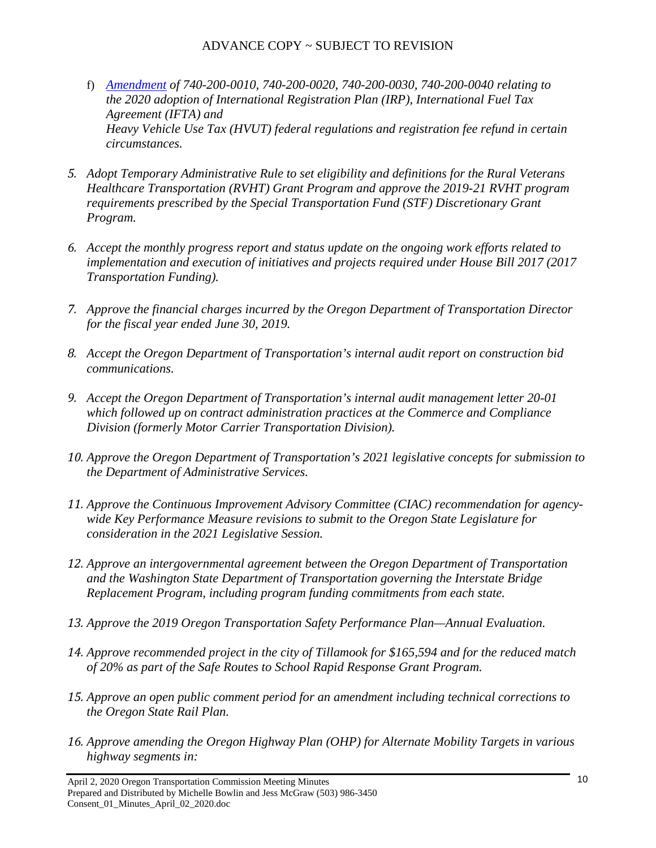- f) *[Amendment](https://www.oregon.gov/odot/Get-Involved/OAR%20012020/740-200-0010NoticeTC.pdf) of 740-200-0010, 740-200-0020, 740-200-0030, 740-200-0040 relating to the 2020 adoption of International Registration Plan (IRP), International Fuel Tax Agreement (IFTA) and Heavy Vehicle Use Tax (HVUT) federal regulations and registration fee refund in certain circumstances.*
- *5. Adopt Temporary Administrative Rule to set eligibility and definitions for the Rural Veterans Healthcare Transportation (RVHT) Grant Program and approve the 2019-21 RVHT program requirements prescribed by the Special Transportation Fund (STF) Discretionary Grant Program.*
- *6. Accept the monthly progress report and status update on the ongoing work efforts related to implementation and execution of initiatives and projects required under House Bill 2017 (2017 Transportation Funding).*
- *7. Approve the financial charges incurred by the Oregon Department of Transportation Director for the fiscal year ended June 30, 2019.*
- *8. Accept the Oregon Department of Transportation's internal audit report on construction bid communications.*
- *9. Accept the Oregon Department of Transportation's internal audit management letter 20-01 which followed up on contract administration practices at the Commerce and Compliance Division (formerly Motor Carrier Transportation Division).*
- *10. Approve the Oregon Department of Transportation's 2021 legislative concepts for submission to the Department of Administrative Services.*
- *11. Approve the Continuous Improvement Advisory Committee (CIAC) recommendation for agencywide Key Performance Measure revisions to submit to the Oregon State Legislature for consideration in the 2021 Legislative Session.*
- *12. Approve an intergovernmental agreement between the Oregon Department of Transportation and the Washington State Department of Transportation governing the Interstate Bridge Replacement Program, including program funding commitments from each state.*
- *13. Approve the 2019 Oregon Transportation Safety Performance Plan—Annual Evaluation.*
- *14. Approve recommended project in the city of Tillamook for \$165,594 and for the reduced match of 20% as part of the Safe Routes to School Rapid Response Grant Program.*
- *15. Approve an open public comment period for an amendment including technical corrections to the Oregon State Rail Plan.*
- *16. Approve amending the Oregon Highway Plan (OHP) for Alternate Mobility Targets in various highway segments in:*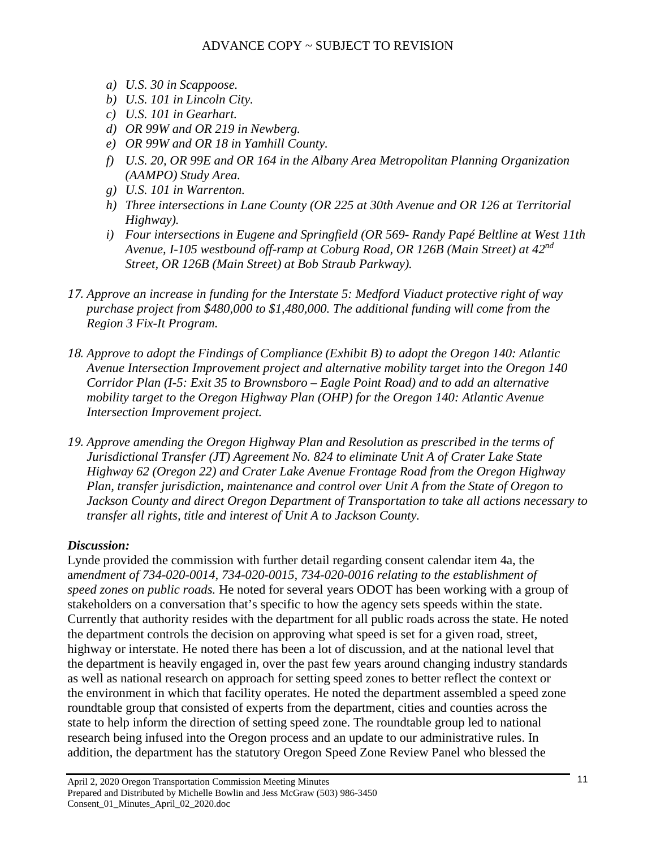- *a) U.S. 30 in Scappoose.*
- *b) U.S. 101 in Lincoln City.*
- *c) U.S. 101 in Gearhart.*
- *d) OR 99W and OR 219 in Newberg.*
- *e) OR 99W and OR 18 in Yamhill County.*
- *f) U.S. 20, OR 99E and OR 164 in the Albany Area Metropolitan Planning Organization (AAMPO) Study Area.*
- *g) U.S. 101 in Warrenton.*
- *h) Three intersections in Lane County (OR 225 at 30th Avenue and OR 126 at Territorial Highway).*
- *i) Four intersections in Eugene and Springfield (OR 569- Randy Papé Beltline at West 11th Avenue, I-105 westbound off-ramp at Coburg Road, OR 126B (Main Street) at 42nd Street, OR 126B (Main Street) at Bob Straub Parkway).*
- *17. Approve an increase in funding for the Interstate 5: Medford Viaduct protective right of way purchase project from \$480,000 to \$1,480,000. The additional funding will come from the Region 3 Fix-It Program.*
- *18. Approve to adopt the Findings of Compliance (Exhibit B) to adopt the Oregon 140: Atlantic Avenue Intersection Improvement project and alternative mobility target into the Oregon 140 Corridor Plan (I-5: Exit 35 to Brownsboro – Eagle Point Road) and to add an alternative mobility target to the Oregon Highway Plan (OHP) for the Oregon 140: Atlantic Avenue Intersection Improvement project.*
- *19. Approve amending the Oregon Highway Plan and Resolution as prescribed in the terms of Jurisdictional Transfer (JT) Agreement No. 824 to eliminate Unit A of Crater Lake State Highway 62 (Oregon 22) and Crater Lake Avenue Frontage Road from the Oregon Highway Plan, transfer jurisdiction, maintenance and control over Unit A from the State of Oregon to Jackson County and direct Oregon Department of Transportation to take all actions necessary to transfer all rights, title and interest of Unit A to Jackson County.*

# *Discussion:*

Lynde provided the commission with further detail regarding consent calendar item 4a, the a*mendment of 734-020-0014, 734-020-0015, 734-020-0016 relating to the establishment of speed zones on public roads.* He noted for several years ODOT has been working with a group of stakeholders on a conversation that's specific to how the agency sets speeds within the state. Currently that authority resides with the department for all public roads across the state. He noted the department controls the decision on approving what speed is set for a given road, street, highway or interstate. He noted there has been a lot of discussion, and at the national level that the department is heavily engaged in, over the past few years around changing industry standards as well as national research on approach for setting speed zones to better reflect the context or the environment in which that facility operates. He noted the department assembled a speed zone roundtable group that consisted of experts from the department, cities and counties across the state to help inform the direction of setting speed zone. The roundtable group led to national research being infused into the Oregon process and an update to our administrative rules. In addition, the department has the statutory Oregon Speed Zone Review Panel who blessed the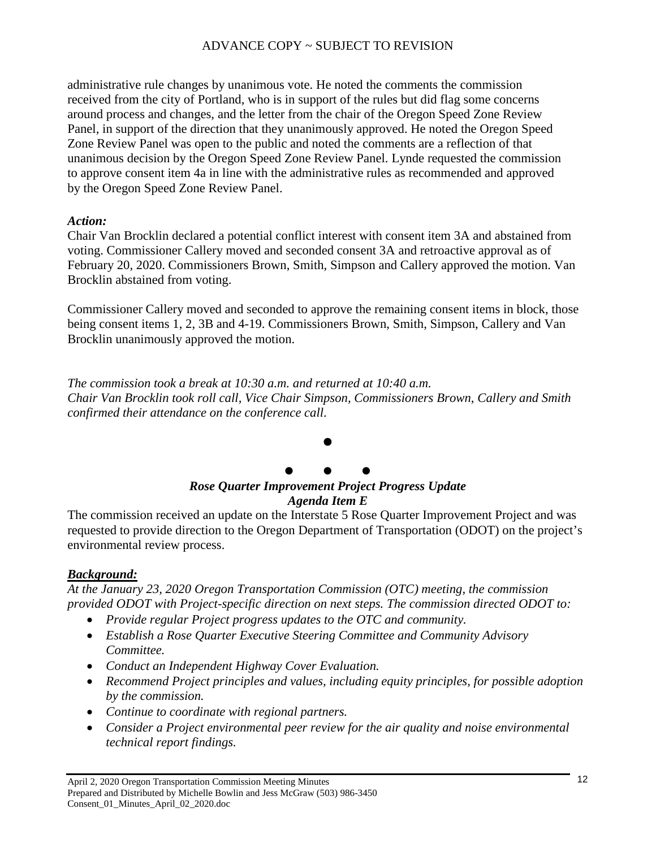administrative rule changes by unanimous vote. He noted the comments the commission received from the city of Portland, who is in support of the rules but did flag some concerns around process and changes, and the letter from the chair of the Oregon Speed Zone Review Panel, in support of the direction that they unanimously approved. He noted the Oregon Speed Zone Review Panel was open to the public and noted the comments are a reflection of that unanimous decision by the Oregon Speed Zone Review Panel. Lynde requested the commission to approve consent item 4a in line with the administrative rules as recommended and approved by the Oregon Speed Zone Review Panel.

### *Action:*

Chair Van Brocklin declared a potential conflict interest with consent item 3A and abstained from voting. Commissioner Callery moved and seconded consent 3A and retroactive approval as of February 20, 2020. Commissioners Brown, Smith, Simpson and Callery approved the motion. Van Brocklin abstained from voting.

Commissioner Callery moved and seconded to approve the remaining consent items in block, those being consent items 1, 2, 3B and 4-19. Commissioners Brown, Smith, Simpson, Callery and Van Brocklin unanimously approved the motion.

*The commission took a break at 10:30 a.m. and returned at 10:40 a.m. Chair Van Brocklin took roll call, Vice Chair Simpson, Commissioners Brown, Callery and Smith confirmed their attendance on the conference call.* 

# $\bullet$  $\bullet$   $\bullet$   $\bullet$ *Rose Quarter Improvement Project Progress Update Agenda Item E*

The commission received an update on the Interstate 5 Rose Quarter Improvement Project and was requested to provide direction to the Oregon Department of Transportation (ODOT) on the project's environmental review process.

### *Background:*

*At the January 23, 2020 Oregon Transportation Commission (OTC) meeting, the commission provided ODOT with Project-specific direction on next steps. The commission directed ODOT to:*

- *Provide regular Project progress updates to the OTC and community.*
- *Establish a Rose Quarter Executive Steering Committee and Community Advisory Committee.*
- *Conduct an Independent Highway Cover Evaluation.*
- *Recommend Project principles and values, including equity principles, for possible adoption by the commission.*
- *Continue to coordinate with regional partners.*
- *Consider a Project environmental peer review for the air quality and noise environmental technical report findings.*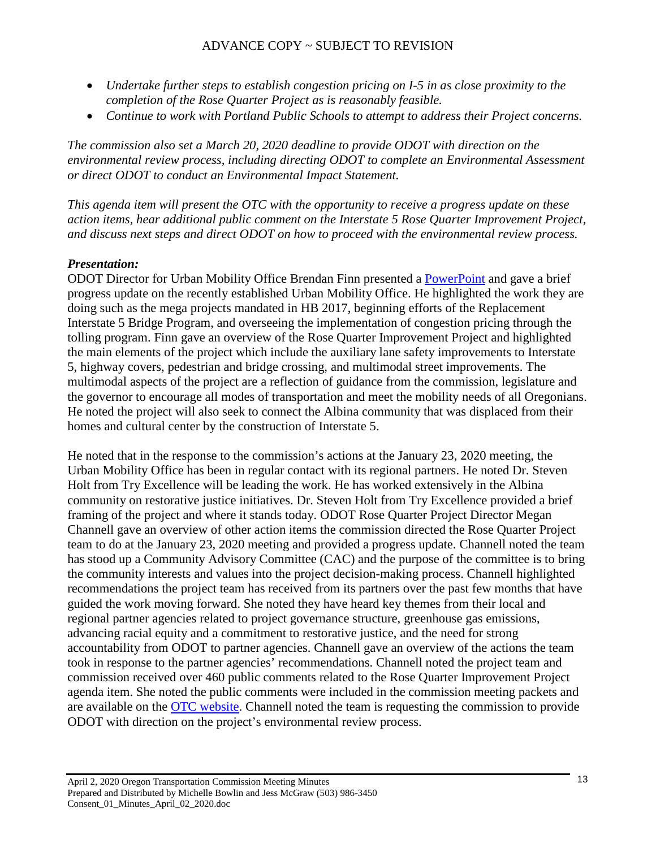- *Undertake further steps to establish congestion pricing on I-5 in as close proximity to the completion of the Rose Quarter Project as is reasonably feasible.*
- *Continue to work with Portland Public Schools to attempt to address their Project concerns.*

*The commission also set a March 20, 2020 deadline to provide ODOT with direction on the environmental review process, including directing ODOT to complete an Environmental Assessment or direct ODOT to conduct an Environmental Impact Statement.* 

*This agenda item will present the OTC with the opportunity to receive a progress update on these action items, hear additional public comment on the Interstate 5 Rose Quarter Improvement Project, and discuss next steps and direct ODOT on how to proceed with the environmental review process.* 

# *Presentation:*

ODOT Director for Urban Mobility Office Brendan Finn presented a [PowerPoint](https://www.oregon.gov/odot/Get-Involved/OTCSupportMaterials/Agenda_D_Rose_Quarter_Progress_Update_PPT.pdf) and gave a brief progress update on the recently established Urban Mobility Office. He highlighted the work they are doing such as the mega projects mandated in HB 2017, beginning efforts of the Replacement Interstate 5 Bridge Program, and overseeing the implementation of congestion pricing through the tolling program. Finn gave an overview of the Rose Quarter Improvement Project and highlighted the main elements of the project which include the auxiliary lane safety improvements to Interstate 5, highway covers, pedestrian and bridge crossing, and multimodal street improvements. The multimodal aspects of the project are a reflection of guidance from the commission, legislature and the governor to encourage all modes of transportation and meet the mobility needs of all Oregonians. He noted the project will also seek to connect the Albina community that was displaced from their homes and cultural center by the construction of Interstate 5.

He noted that in the response to the commission's actions at the January 23, 2020 meeting, the Urban Mobility Office has been in regular contact with its regional partners. He noted Dr. Steven Holt from Try Excellence will be leading the work. He has worked extensively in the Albina community on restorative justice initiatives. Dr. Steven Holt from Try Excellence provided a brief framing of the project and where it stands today. ODOT Rose Quarter Project Director Megan Channell gave an overview of other action items the commission directed the Rose Quarter Project team to do at the January 23, 2020 meeting and provided a progress update. Channell noted the team has stood up a Community Advisory Committee (CAC) and the purpose of the committee is to bring the community interests and values into the project decision-making process. Channell highlighted recommendations the project team has received from its partners over the past few months that have guided the work moving forward. She noted they have heard key themes from their local and regional partner agencies related to project governance structure, greenhouse gas emissions, advancing racial equity and a commitment to restorative justice, and the need for strong accountability from ODOT to partner agencies. Channell gave an overview of the actions the team took in response to the partner agencies' recommendations. Channell noted the project team and commission received over 460 public comments related to the Rose Quarter Improvement Project agenda item. She noted the public comments were included in the commission meeting packets and are available on the [OTC website.](https://www.oregon.gov/ODOT/Get-Involved/Pages/OTC_Main.aspx) Channell noted the team is requesting the commission to provide ODOT with direction on the project's environmental review process.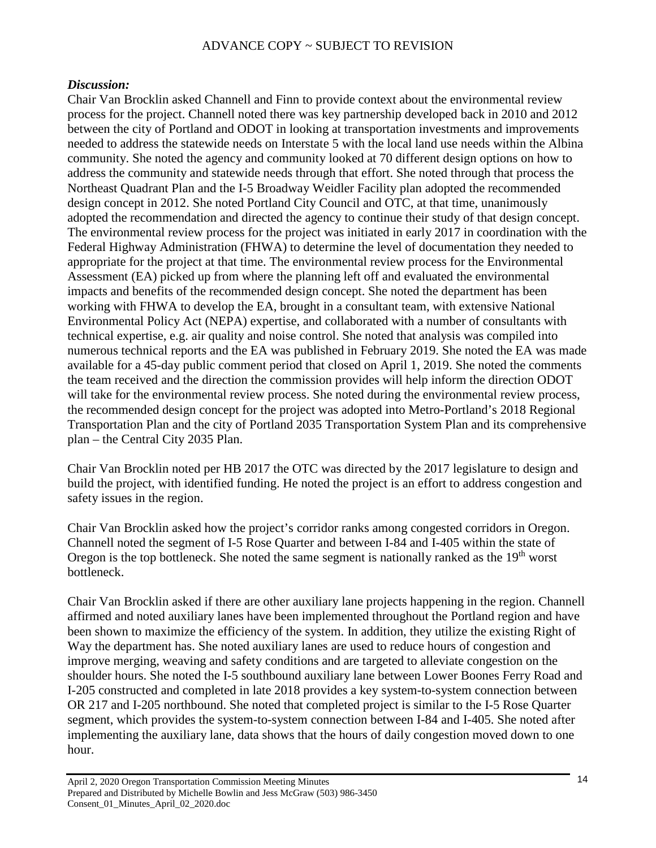### *Discussion:*

Chair Van Brocklin asked Channell and Finn to provide context about the environmental review process for the project. Channell noted there was key partnership developed back in 2010 and 2012 between the city of Portland and ODOT in looking at transportation investments and improvements needed to address the statewide needs on Interstate 5 with the local land use needs within the Albina community. She noted the agency and community looked at 70 different design options on how to address the community and statewide needs through that effort. She noted through that process the Northeast Quadrant Plan and the I-5 Broadway Weidler Facility plan adopted the recommended design concept in 2012. She noted Portland City Council and OTC, at that time, unanimously adopted the recommendation and directed the agency to continue their study of that design concept. The environmental review process for the project was initiated in early 2017 in coordination with the Federal Highway Administration (FHWA) to determine the level of documentation they needed to appropriate for the project at that time. The environmental review process for the Environmental Assessment (EA) picked up from where the planning left off and evaluated the environmental impacts and benefits of the recommended design concept. She noted the department has been working with FHWA to develop the EA, brought in a consultant team, with extensive National Environmental Policy Act (NEPA) expertise, and collaborated with a number of consultants with technical expertise, e.g. air quality and noise control. She noted that analysis was compiled into numerous technical reports and the EA was published in February 2019. She noted the EA was made available for a 45-day public comment period that closed on April 1, 2019. She noted the comments the team received and the direction the commission provides will help inform the direction ODOT will take for the environmental review process. She noted during the environmental review process, the recommended design concept for the project was adopted into Metro-Portland's 2018 Regional Transportation Plan and the city of Portland 2035 Transportation System Plan and its comprehensive plan – the Central City 2035 Plan.

Chair Van Brocklin noted per HB 2017 the OTC was directed by the 2017 legislature to design and build the project, with identified funding. He noted the project is an effort to address congestion and safety issues in the region.

Chair Van Brocklin asked how the project's corridor ranks among congested corridors in Oregon. Channell noted the segment of I-5 Rose Quarter and between I-84 and I-405 within the state of Oregon is the top bottleneck. She noted the same segment is nationally ranked as the  $19<sup>th</sup>$  worst bottleneck.

Chair Van Brocklin asked if there are other auxiliary lane projects happening in the region. Channell affirmed and noted auxiliary lanes have been implemented throughout the Portland region and have been shown to maximize the efficiency of the system. In addition, they utilize the existing Right of Way the department has. She noted auxiliary lanes are used to reduce hours of congestion and improve merging, weaving and safety conditions and are targeted to alleviate congestion on the shoulder hours. She noted the I-5 southbound auxiliary lane between Lower Boones Ferry Road and I-205 constructed and completed in late 2018 provides a key system-to-system connection between OR 217 and I-205 northbound. She noted that completed project is similar to the I-5 Rose Quarter segment, which provides the system-to-system connection between I-84 and I-405. She noted after implementing the auxiliary lane, data shows that the hours of daily congestion moved down to one hour.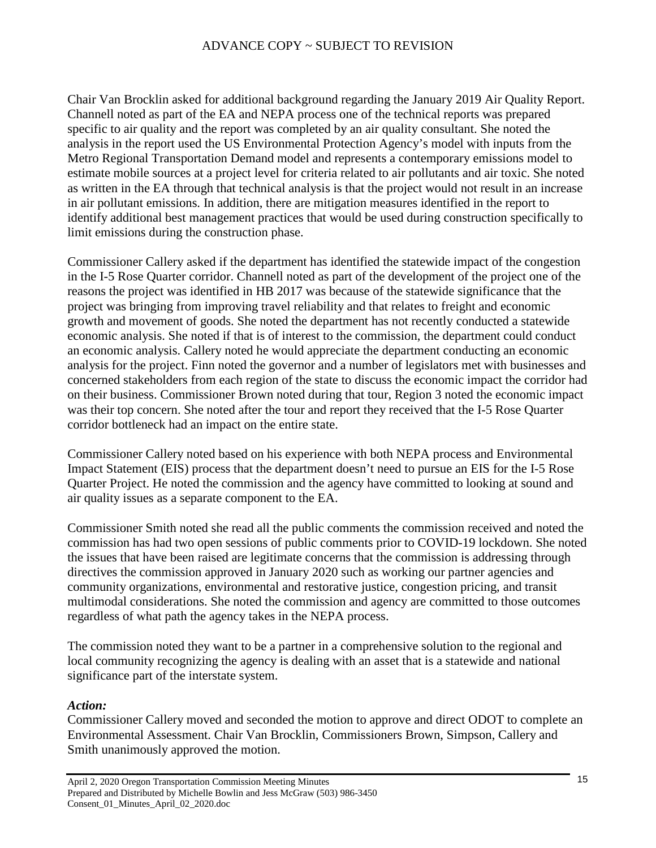Chair Van Brocklin asked for additional background regarding the January 2019 Air Quality Report. Channell noted as part of the EA and NEPA process one of the technical reports was prepared specific to air quality and the report was completed by an air quality consultant. She noted the analysis in the report used the US Environmental Protection Agency's model with inputs from the Metro Regional Transportation Demand model and represents a contemporary emissions model to estimate mobile sources at a project level for criteria related to air pollutants and air toxic. She noted as written in the EA through that technical analysis is that the project would not result in an increase in air pollutant emissions. In addition, there are mitigation measures identified in the report to identify additional best management practices that would be used during construction specifically to limit emissions during the construction phase.

Commissioner Callery asked if the department has identified the statewide impact of the congestion in the I-5 Rose Quarter corridor. Channell noted as part of the development of the project one of the reasons the project was identified in HB 2017 was because of the statewide significance that the project was bringing from improving travel reliability and that relates to freight and economic growth and movement of goods. She noted the department has not recently conducted a statewide economic analysis. She noted if that is of interest to the commission, the department could conduct an economic analysis. Callery noted he would appreciate the department conducting an economic analysis for the project. Finn noted the governor and a number of legislators met with businesses and concerned stakeholders from each region of the state to discuss the economic impact the corridor had on their business. Commissioner Brown noted during that tour, Region 3 noted the economic impact was their top concern. She noted after the tour and report they received that the I-5 Rose Quarter corridor bottleneck had an impact on the entire state.

Commissioner Callery noted based on his experience with both NEPA process and Environmental Impact Statement (EIS) process that the department doesn't need to pursue an EIS for the I-5 Rose Quarter Project. He noted the commission and the agency have committed to looking at sound and air quality issues as a separate component to the EA.

Commissioner Smith noted she read all the public comments the commission received and noted the commission has had two open sessions of public comments prior to COVID-19 lockdown. She noted the issues that have been raised are legitimate concerns that the commission is addressing through directives the commission approved in January 2020 such as working our partner agencies and community organizations, environmental and restorative justice, congestion pricing, and transit multimodal considerations. She noted the commission and agency are committed to those outcomes regardless of what path the agency takes in the NEPA process.

The commission noted they want to be a partner in a comprehensive solution to the regional and local community recognizing the agency is dealing with an asset that is a statewide and national significance part of the interstate system.

#### *Action:*

Commissioner Callery moved and seconded the motion to approve and direct ODOT to complete an Environmental Assessment. Chair Van Brocklin, Commissioners Brown, Simpson, Callery and Smith unanimously approved the motion.